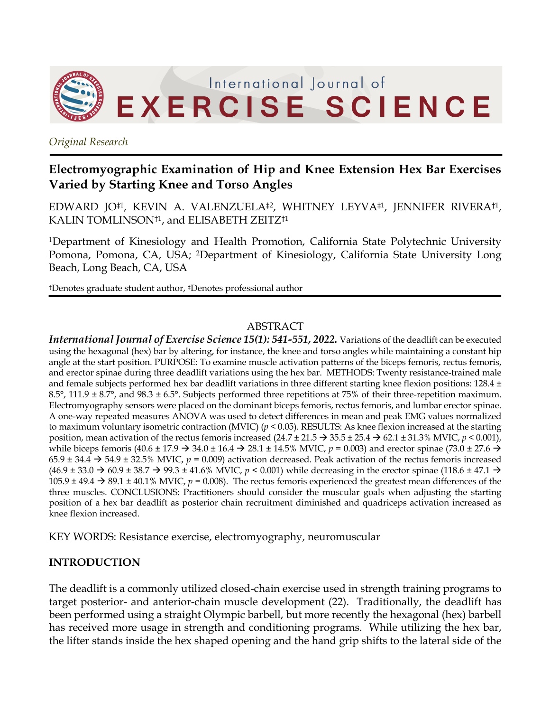

*Original Research*

# **Electromyographic Examination of Hip and Knee Extension Hex Bar Exercises Varied by Starting Knee and Torso Angles**

EDWARD JO‡1, KEVIN A. VALENZUELA‡2, WHITNEY LEYVA‡1, JENNIFER RIVERA†1, KALIN TOMLINSON†1, and ELISABETH ZEITZ†1

1Department of Kinesiology and Health Promotion, California State Polytechnic University Pomona, Pomona, CA, USA; 2Department of Kinesiology, California State University Long Beach, Long Beach, CA, USA

†Denotes graduate student author, ‡Denotes professional author

## ABSTRACT

*International Journal of Exercise Science 15(1): 541-551, 2022.* Variations of the deadlift can be executed using the hexagonal (hex) bar by altering, for instance, the knee and torso angles while maintaining a constant hip angle at the start position. PURPOSE: To examine muscle activation patterns of the biceps femoris, rectus femoris, and erector spinae during three deadlift variations using the hex bar. METHODS: Twenty resistance-trained male and female subjects performed hex bar deadlift variations in three different starting knee flexion positions: 128.4 ± 8.5°, 111.9 ± 8.7°, and 98.3 ± 6.5°. Subjects performed three repetitions at 75% of their three-repetition maximum. Electromyography sensors were placed on the dominant biceps femoris, rectus femoris, and lumbar erector spinae. A one-way repeated measures ANOVA was used to detect differences in mean and peak EMG values normalized to maximum voluntary isometric contraction (MVIC) (*p* < 0.05). RESULTS: As knee flexion increased at the starting position, mean activation of the rectus femoris increased  $(24.7 \pm 21.5 \rightarrow 35.5 \pm 25.4 \rightarrow 62.1 \pm 31.3\% \text{ MVIC}, p < 0.001)$ , while biceps femoris (40.6 ± 17.9  $\rightarrow$  34.0 ± 16.4  $\rightarrow$  28.1 ± 14.5% MVIC,  $p = 0.003$ ) and erector spinae (73.0 ± 27.6  $\rightarrow$ 65.9  $\pm$  34.4  $\rightarrow$  54.9  $\pm$  32.5% MVIC,  $p = 0.009$ ) activation decreased. Peak activation of the rectus femoris increased  $(46.9 \pm 33.0 \rightarrow 60.9 \pm 38.7 \rightarrow 99.3 \pm 41.6\%$  MVIC,  $p < 0.001$ ) while decreasing in the erector spinae (118.6  $\pm$  47.1  $\rightarrow$ 105.9  $\pm$  49.4  $\rightarrow$  89.1  $\pm$  40.1% MVIC,  $p = 0.008$ ). The rectus femoris experienced the greatest mean differences of the three muscles. CONCLUSIONS: Practitioners should consider the muscular goals when adjusting the starting position of a hex bar deadlift as posterior chain recruitment diminished and quadriceps activation increased as knee flexion increased.

KEY WORDS: Resistance exercise, electromyography, neuromuscular

# **INTRODUCTION**

The deadlift is a commonly utilized closed-chain exercise used in strength training programs to target posterior- and anterior-chain muscle development (22). Traditionally, the deadlift has been performed using a straight Olympic barbell, but more recently the hexagonal (hex) barbell has received more usage in strength and conditioning programs. While utilizing the hex bar, the lifter stands inside the hex shaped opening and the hand grip shifts to the lateral side of the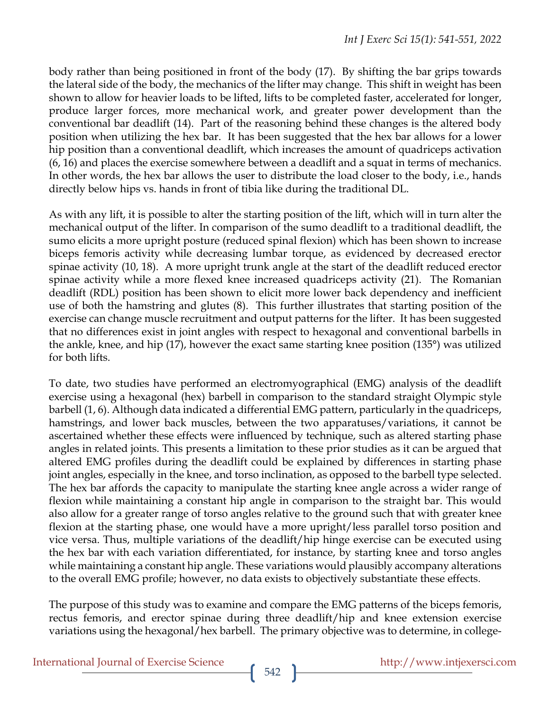body rather than being positioned in front of the body (17). By shifting the bar grips towards the lateral side of the body, the mechanics of the lifter may change. This shift in weight has been shown to allow for heavier loads to be lifted, lifts to be completed faster, accelerated for longer, produce larger forces, more mechanical work, and greater power development than the conventional bar deadlift (14). Part of the reasoning behind these changes is the altered body position when utilizing the hex bar. It has been suggested that the hex bar allows for a lower hip position than a conventional deadlift, which increases the amount of quadriceps activation (6, 16) and places the exercise somewhere between a deadlift and a squat in terms of mechanics. In other words, the hex bar allows the user to distribute the load closer to the body, i.e., hands directly below hips vs. hands in front of tibia like during the traditional DL.

As with any lift, it is possible to alter the starting position of the lift, which will in turn alter the mechanical output of the lifter. In comparison of the sumo deadlift to a traditional deadlift, the sumo elicits a more upright posture (reduced spinal flexion) which has been shown to increase biceps femoris activity while decreasing lumbar torque, as evidenced by decreased erector spinae activity (10, 18). A more upright trunk angle at the start of the deadlift reduced erector spinae activity while a more flexed knee increased quadriceps activity (21). The Romanian deadlift (RDL) position has been shown to elicit more lower back dependency and inefficient use of both the hamstring and glutes (8). This further illustrates that starting position of the exercise can change muscle recruitment and output patterns for the lifter. It has been suggested that no differences exist in joint angles with respect to hexagonal and conventional barbells in the ankle, knee, and hip (17), however the exact same starting knee position (135°) was utilized for both lifts.

To date, two studies have performed an electromyographical (EMG) analysis of the deadlift exercise using a hexagonal (hex) barbell in comparison to the standard straight Olympic style barbell (1, 6). Although data indicated a differential EMG pattern, particularly in the quadriceps, hamstrings, and lower back muscles, between the two apparatuses/variations, it cannot be ascertained whether these effects were influenced by technique, such as altered starting phase angles in related joints. This presents a limitation to these prior studies as it can be argued that altered EMG profiles during the deadlift could be explained by differences in starting phase joint angles, especially in the knee, and torso inclination, as opposed to the barbell type selected. The hex bar affords the capacity to manipulate the starting knee angle across a wider range of flexion while maintaining a constant hip angle in comparison to the straight bar. This would also allow for a greater range of torso angles relative to the ground such that with greater knee flexion at the starting phase, one would have a more upright/less parallel torso position and vice versa. Thus, multiple variations of the deadlift/hip hinge exercise can be executed using the hex bar with each variation differentiated, for instance, by starting knee and torso angles while maintaining a constant hip angle. These variations would plausibly accompany alterations to the overall EMG profile; however, no data exists to objectively substantiate these effects.

The purpose of this study was to examine and compare the EMG patterns of the biceps femoris, rectus femoris, and erector spinae during three deadlift/hip and knee extension exercise variations using the hexagonal/hex barbell. The primary objective was to determine, in college-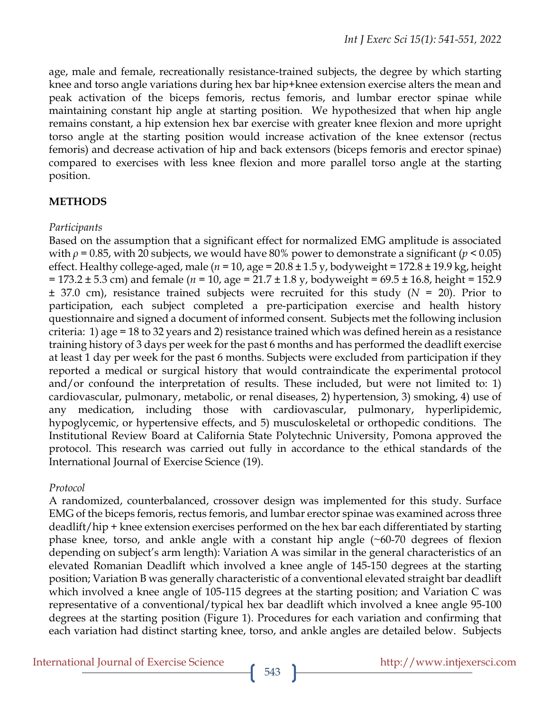age, male and female, recreationally resistance-trained subjects, the degree by which starting knee and torso angle variations during hex bar hip+knee extension exercise alters the mean and peak activation of the biceps femoris, rectus femoris, and lumbar erector spinae while maintaining constant hip angle at starting position. We hypothesized that when hip angle remains constant, a hip extension hex bar exercise with greater knee flexion and more upright torso angle at the starting position would increase activation of the knee extensor (rectus femoris) and decrease activation of hip and back extensors (biceps femoris and erector spinae) compared to exercises with less knee flexion and more parallel torso angle at the starting position.

# **METHODS**

## *Participants*

Based on the assumption that a significant effect for normalized EMG amplitude is associated with  $\rho$  = 0.85, with 20 subjects, we would have 80% power to demonstrate a significant ( $p < 0.05$ ) effect. Healthy college-aged, male (*n* = 10, age = 20.8 ± 1.5 y, bodyweight = 172.8 ± 19.9 kg, height = 173.2 ± 5.3 cm) and female (*n* = 10, age = 21.7 ± 1.8 y, bodyweight = 69.5 ± 16.8, height = 152.9 ± 37.0 cm), resistance trained subjects were recruited for this study (*N* = 20). Prior to participation, each subject completed a pre-participation exercise and health history questionnaire and signed a document of informed consent. Subjects met the following inclusion criteria: 1) age = 18 to 32 years and 2) resistance trained which was defined herein as a resistance training history of 3 days per week for the past 6 months and has performed the deadlift exercise at least 1 day per week for the past 6 months. Subjects were excluded from participation if they reported a medical or surgical history that would contraindicate the experimental protocol and/or confound the interpretation of results. These included, but were not limited to: 1) cardiovascular, pulmonary, metabolic, or renal diseases, 2) hypertension, 3) smoking, 4) use of any medication, including those with cardiovascular, pulmonary, hyperlipidemic, hypoglycemic, or hypertensive effects, and 5) musculoskeletal or orthopedic conditions. The Institutional Review Board at California State Polytechnic University, Pomona approved the protocol. This research was carried out fully in accordance to the ethical standards of the International Journal of Exercise Science (19).

#### *Protocol*

A randomized, counterbalanced, crossover design was implemented for this study. Surface EMG of the biceps femoris, rectus femoris, and lumbar erector spinae was examined across three deadlift/hip + knee extension exercises performed on the hex bar each differentiated by starting phase knee, torso, and ankle angle with a constant hip angle (~60-70 degrees of flexion depending on subject's arm length): Variation A was similar in the general characteristics of an elevated Romanian Deadlift which involved a knee angle of 145-150 degrees at the starting position; Variation B was generally characteristic of a conventional elevated straight bar deadlift which involved a knee angle of 105-115 degrees at the starting position; and Variation C was representative of a conventional/typical hex bar deadlift which involved a knee angle 95-100 degrees at the starting position (Figure 1). Procedures for each variation and confirming that each variation had distinct starting knee, torso, and ankle angles are detailed below. Subjects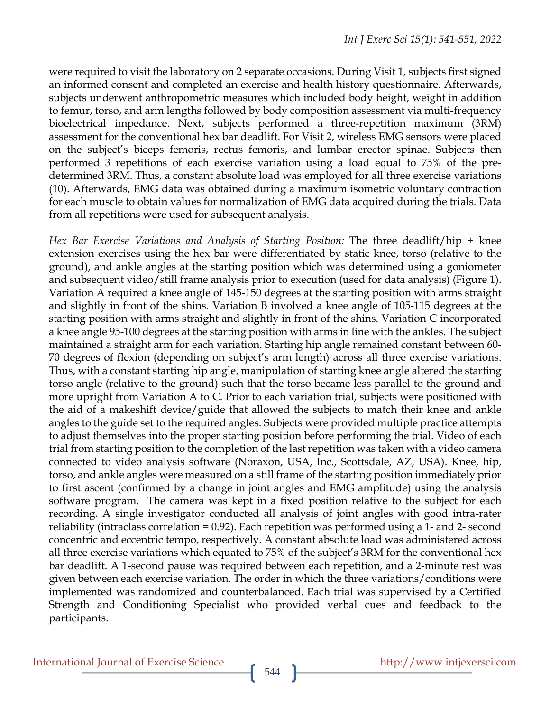were required to visit the laboratory on 2 separate occasions. During Visit 1, subjects first signed an informed consent and completed an exercise and health history questionnaire. Afterwards, subjects underwent anthropometric measures which included body height, weight in addition to femur, torso, and arm lengths followed by body composition assessment via multi-frequency bioelectrical impedance. Next, subjects performed a three-repetition maximum (3RM) assessment for the conventional hex bar deadlift. For Visit 2, wireless EMG sensors were placed on the subject's biceps femoris, rectus femoris, and lumbar erector spinae. Subjects then performed 3 repetitions of each exercise variation using a load equal to 75% of the predetermined 3RM. Thus, a constant absolute load was employed for all three exercise variations (10). Afterwards, EMG data was obtained during a maximum isometric voluntary contraction for each muscle to obtain values for normalization of EMG data acquired during the trials. Data from all repetitions were used for subsequent analysis.

*Hex Bar Exercise Variations and Analysis of Starting Position:* The three deadlift/hip + knee extension exercises using the hex bar were differentiated by static knee, torso (relative to the ground), and ankle angles at the starting position which was determined using a goniometer and subsequent video/still frame analysis prior to execution (used for data analysis) (Figure 1). Variation A required a knee angle of 145-150 degrees at the starting position with arms straight and slightly in front of the shins. Variation B involved a knee angle of 105-115 degrees at the starting position with arms straight and slightly in front of the shins. Variation C incorporated a knee angle 95-100 degrees at the starting position with arms in line with the ankles. The subject maintained a straight arm for each variation. Starting hip angle remained constant between 60- 70 degrees of flexion (depending on subject's arm length) across all three exercise variations. Thus, with a constant starting hip angle, manipulation of starting knee angle altered the starting torso angle (relative to the ground) such that the torso became less parallel to the ground and more upright from Variation A to C. Prior to each variation trial, subjects were positioned with the aid of a makeshift device/guide that allowed the subjects to match their knee and ankle angles to the guide set to the required angles. Subjects were provided multiple practice attempts to adjust themselves into the proper starting position before performing the trial. Video of each trial from starting position to the completion of the last repetition was taken with a video camera connected to video analysis software (Noraxon, USA, Inc., Scottsdale, AZ, USA). Knee, hip, torso, and ankle angles were measured on a still frame of the starting position immediately prior to first ascent (confirmed by a change in joint angles and EMG amplitude) using the analysis software program. The camera was kept in a fixed position relative to the subject for each recording. A single investigator conducted all analysis of joint angles with good intra-rater reliability (intraclass correlation = 0.92). Each repetition was performed using a 1- and 2- second concentric and eccentric tempo, respectively. A constant absolute load was administered across all three exercise variations which equated to 75% of the subject's 3RM for the conventional hex bar deadlift. A 1-second pause was required between each repetition, and a 2-minute rest was given between each exercise variation. The order in which the three variations/conditions were implemented was randomized and counterbalanced. Each trial was supervised by a Certified Strength and Conditioning Specialist who provided verbal cues and feedback to the participants.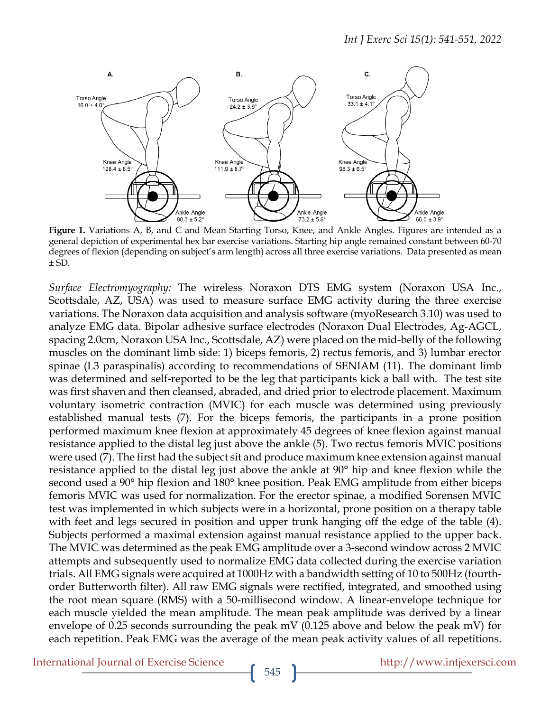

**Figure 1.** Variations A, B, and C and Mean Starting Torso, Knee, and Ankle Angles. Figures are intended as a general depiction of experimental hex bar exercise variations. Starting hip angle remained constant between 60-70 degrees of flexion (depending on subject's arm length) across all three exercise variations. Data presented as mean ± SD.

*Surface Electromyography:* The wireless Noraxon DTS EMG system (Noraxon USA Inc., Scottsdale, AZ, USA) was used to measure surface EMG activity during the three exercise variations. The Noraxon data acquisition and analysis software (myoResearch 3.10) was used to analyze EMG data. Bipolar adhesive surface electrodes (Noraxon Dual Electrodes, Ag-AGCL, spacing 2.0cm, Noraxon USA Inc., Scottsdale, AZ) were placed on the mid-belly of the following muscles on the dominant limb side: 1) biceps femoris, 2) rectus femoris, and 3) lumbar erector spinae (L3 paraspinalis) according to recommendations of SENIAM (11). The dominant limb was determined and self-reported to be the leg that participants kick a ball with. The test site was first shaven and then cleansed, abraded, and dried prior to electrode placement. Maximum voluntary isometric contraction (MVIC) for each muscle was determined using previously established manual tests (7). For the biceps femoris, the participants in a prone position performed maximum knee flexion at approximately 45 degrees of knee flexion against manual resistance applied to the distal leg just above the ankle (5). Two rectus femoris MVIC positions were used (7). The first had the subject sit and produce maximum knee extension against manual resistance applied to the distal leg just above the ankle at 90° hip and knee flexion while the second used a 90° hip flexion and 180° knee position. Peak EMG amplitude from either biceps femoris MVIC was used for normalization. For the erector spinae, a modified Sorensen MVIC test was implemented in which subjects were in a horizontal, prone position on a therapy table with feet and legs secured in position and upper trunk hanging off the edge of the table (4). Subjects performed a maximal extension against manual resistance applied to the upper back. The MVIC was determined as the peak EMG amplitude over a 3-second window across 2 MVIC attempts and subsequently used to normalize EMG data collected during the exercise variation trials. All EMG signals were acquired at 1000Hz with a bandwidth setting of 10 to 500Hz (fourthorder Butterworth filter). All raw EMG signals were rectified, integrated, and smoothed using the root mean square (RMS) with a 50-millisecond window. A linear-envelope technique for each muscle yielded the mean amplitude. The mean peak amplitude was derived by a linear envelope of 0.25 seconds surrounding the peak mV (0.125 above and below the peak mV) for each repetition. Peak EMG was the average of the mean peak activity values of all repetitions.

International Journal of Exercise Science http://www.intjexersci.com http://www.intjexersci.com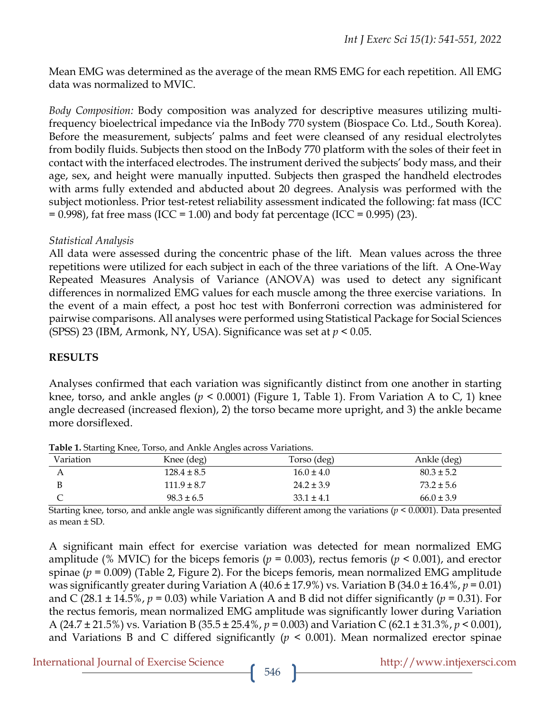Mean EMG was determined as the average of the mean RMS EMG for each repetition. All EMG data was normalized to MVIC.

*Body Composition:* Body composition was analyzed for descriptive measures utilizing multifrequency bioelectrical impedance via the InBody 770 system (Biospace Co. Ltd., South Korea). Before the measurement, subjects' palms and feet were cleansed of any residual electrolytes from bodily fluids. Subjects then stood on the InBody 770 platform with the soles of their feet in contact with the interfaced electrodes. The instrument derived the subjects' body mass, and their age, sex, and height were manually inputted. Subjects then grasped the handheld electrodes with arms fully extended and abducted about 20 degrees. Analysis was performed with the subject motionless. Prior test-retest reliability assessment indicated the following: fat mass (ICC  $= 0.998$ ), fat free mass (ICC = 1.00) and body fat percentage (ICC = 0.995) (23).

## *Statistical Analysis*

All data were assessed during the concentric phase of the lift. Mean values across the three repetitions were utilized for each subject in each of the three variations of the lift. A One-Way Repeated Measures Analysis of Variance (ANOVA) was used to detect any significant differences in normalized EMG values for each muscle among the three exercise variations. In the event of a main effect, a post hoc test with Bonferroni correction was administered for pairwise comparisons. All analyses were performed using Statistical Package for Social Sciences (SPSS) 23 (IBM, Armonk, NY, USA). Significance was set at *p* < 0.05.

## **RESULTS**

Analyses confirmed that each variation was significantly distinct from one another in starting knee, torso, and ankle angles (*p* < 0.0001) (Figure 1, Table 1). From Variation A to C, 1) knee angle decreased (increased flexion), 2) the torso became more upright, and 3) the ankle became more dorsiflexed.

| Variation | Knee (deg)      | Torso (deg)    | Ankle (deg)    |  |
|-----------|-----------------|----------------|----------------|--|
|           | $128.4 \pm 8.5$ | $16.0 \pm 4.0$ | $80.3 \pm 5.2$ |  |
|           | $111.9 \pm 8.7$ | $24.2 \pm 3.9$ | $73.2 \pm 5.6$ |  |
|           | $98.3 \pm 6.5$  | $33.1 \pm 4.1$ | $66.0 \pm 3.9$ |  |

**Table 1.** Starting Knee, Torso, and Ankle Angles across Variations.

Starting knee, torso, and ankle angle was significantly different among the variations (*p* < 0.0001). Data presented as mean ± SD.

A significant main effect for exercise variation was detected for mean normalized EMG amplitude (% MVIC) for the biceps femoris ( $p = 0.003$ ), rectus femoris ( $p \le 0.001$ ), and erector spinae ( $p = 0.009$ ) (Table 2, Figure 2). For the biceps femoris, mean normalized EMG amplitude was significantly greater during Variation A (40.6  $\pm$  17.9%) vs. Variation B (34.0  $\pm$  16.4%, *p* = 0.01) and C (28.1  $\pm$  14.5%,  $p = 0.03$ ) while Variation A and B did not differ significantly ( $p = 0.31$ ). For the rectus femoris, mean normalized EMG amplitude was significantly lower during Variation A (24.7 ± 21.5%) vs. Variation B (35.5 ± 25.4%, *p* = 0.003) and Variation C (62.1 ± 31.3%, *p* < 0.001), and Variations B and C differed significantly  $(p < 0.001)$ . Mean normalized erector spinae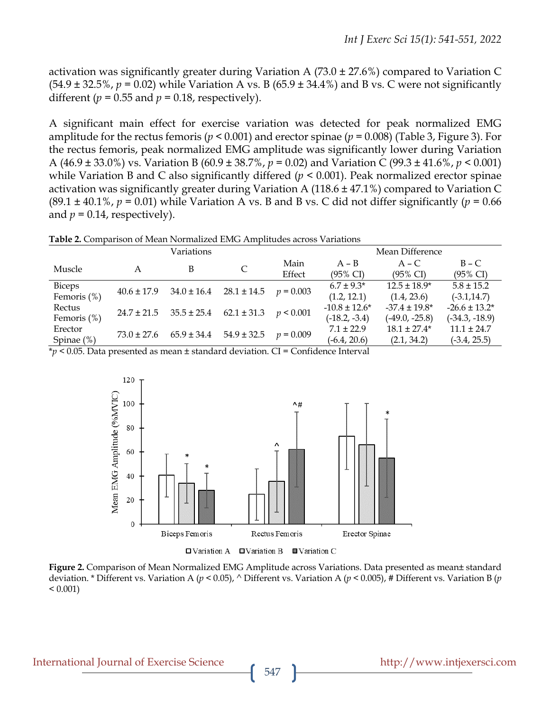activation was significantly greater during Variation A (73.0  $\pm$  27.6%) compared to Variation C  $(54.9 \pm 32.5\%, p = 0.02)$  while Variation A vs. B  $(65.9 \pm 34.4\%)$  and B vs. C were not significantly different ( $p = 0.55$  and  $p = 0.18$ , respectively).

A significant main effect for exercise variation was detected for peak normalized EMG amplitude for the rectus femoris (*p* < 0.001) and erector spinae (*p* = 0.008) (Table 3, Figure 3). For the rectus femoris, peak normalized EMG amplitude was significantly lower during Variation A (46.9 ± 33.0%) vs. Variation B (60.9 ± 38.7%, *p* = 0.02) and Variation C (99.3 ± 41.6%, *p* < 0.001) while Variation B and C also significantly differed ( $p < 0.001$ ). Peak normalized erector spinae activation was significantly greater during Variation A (118.6 ± 47.1%) compared to Variation C  $(89.1 \pm 40.1\%$ ,  $p = 0.01)$  while Variation A vs. B and B vs. C did not differ significantly ( $p = 0.66$ ) and  $p = 0.14$ , respectively).

**Table 2.** Comparison of Mean Normalized EMG Amplitudes across Variations

|                              | Variations      |                 |                 |                | Mean Difference                      |                                        |                                       |
|------------------------------|-----------------|-----------------|-----------------|----------------|--------------------------------------|----------------------------------------|---------------------------------------|
| Muscle                       | A               | B               | C               | Main<br>Effect | $A - B$<br>$(95\% \text{ CI})$       | $A - C$<br>$(95\% \text{ CI})$         | $B - C$<br>$(95\% \text{ CI})$        |
| <b>Biceps</b><br>Femoris (%) | $40.6 \pm 17.9$ | $34.0 \pm 16.4$ | $28.1 \pm 14.5$ | $p = 0.003$    | $6.7 \pm 9.3^*$<br>(1.2, 12.1)       | $12.5 \pm 18.9^*$<br>(1.4, 23.6)       | $5.8 \pm 15.2$<br>$(-3.1, 14.7)$      |
| Rectus<br>Femoris (%)        | $24.7 \pm 21.5$ | $35.5 \pm 25.4$ | $62.1 \pm 31.3$ | p < 0.001      | $-10.8 \pm 12.6*$<br>$(-18.2, -3.4)$ | $-37.4 \pm 19.8^*$<br>$(-49.0, -25.8)$ | $-26.6 \pm 13.2*$<br>$(-34.3, -18.9)$ |
| Erector<br>Spinae $(\%)$     | $73.0 \pm 27.6$ | $65.9 \pm 34.4$ | $54.9 \pm 32.5$ | $p = 0.009$    | $7.1 \pm 22.9$<br>$(-6.4, 20.6)$     | $18.1 \pm 27.4*$<br>(2.1, 34.2)        | $11.1 \pm 24.7$<br>$(-3.4, 25.5)$     |

\**p* < 0.05. Data presented as mean ± standard deviation. CI = Confidence Interval



**Figure 2.** Comparison of Mean Normalized EMG Amplitude across Variations. Data presented as mean± standard deviation. \* Different vs. Variation A (*p* < 0.05), ^ Different vs. Variation A (*p* < 0.005), # Different vs. Variation B (*p*  $< 0.001$ )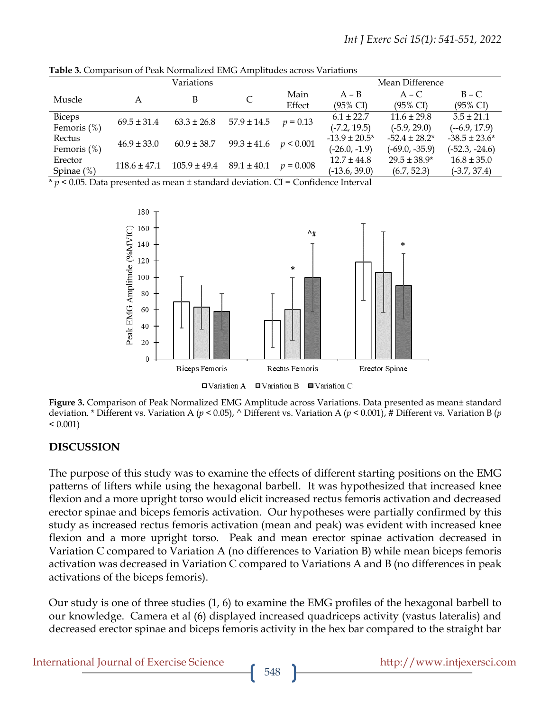| <b>Table 5.</b> Combarison of Fear Indifficultured Enter Altibilities actoss Valiations |                  |                                    |                 |                 |                     |                     |                     |
|-----------------------------------------------------------------------------------------|------------------|------------------------------------|-----------------|-----------------|---------------------|---------------------|---------------------|
|                                                                                         | Variations       |                                    |                 |                 | Mean Difference     |                     |                     |
| Muscle                                                                                  |                  | В                                  |                 | Main            | $A - B$             | $A - C$             | $B - C$             |
|                                                                                         | A                |                                    |                 | Effect          | $(95\% \text{ CI})$ | $(95\% \text{ CI})$ | $(95\% \text{ CI})$ |
| <b>Biceps</b>                                                                           | $69.5 \pm 31.4$  | $63.3 \pm 26.8$                    | $57.9 \pm 14.5$ | $p = 0.13$      | $6.1 \pm 22.7$      | $11.6 \pm 29.8$     | $5.5 \pm 21.1$      |
| Femoris $(\%)$                                                                          |                  |                                    |                 |                 | $(-7.2, 19.5)$      | $(-5.9, 29.0)$      | $(-6.9, 17.9)$      |
| Rectus                                                                                  | $46.9 \pm 33.0$  | $60.9 \pm 38.7$<br>$99.3 \pm 41.6$ |                 | p < 0.001       | $-13.9 \pm 20.5^*$  | $-52.4 \pm 28.2^*$  | $-38.5 \pm 23.6^*$  |
| Femoris $(\%)$                                                                          |                  |                                    |                 | $(-26.0, -1.9)$ | $(-69.0, -35.9)$    | $(-52.3, -24.6)$    |                     |
| Erector                                                                                 | $118.6 \pm 47.1$ | $105.9 \pm 49.4$                   | $89.1 \pm 40.1$ | $p = 0.008$     | $12.7 \pm 44.8$     | $29.5 \pm 38.9*$    | $16.8 \pm 35.0$     |
| Spinae (%)                                                                              |                  |                                    |                 |                 | $(-13.6, 39.0)$     | (6.7, 52.3)         | $(-3.7, 37.4)$      |

rison of Peak Normalized EMG Amplitudes across

\* *p* < 0.05. Data presented as mean ± standard deviation. CI = Confidence Interval



 $\Box$  Variation A  $\Box$  Variation B  $\Box$  Variation C

**Figure 3.** Comparison of Peak Normalized EMG Amplitude across Variations. Data presented as mean± standard deviation. \* Different vs. Variation A (*p* < 0.05), ^ Different vs. Variation A (*p* < 0.001), # Different vs. Variation B (*p*  $< 0.001$ )

#### **DISCUSSION**

The purpose of this study was to examine the effects of different starting positions on the EMG patterns of lifters while using the hexagonal barbell. It was hypothesized that increased knee flexion and a more upright torso would elicit increased rectus femoris activation and decreased erector spinae and biceps femoris activation. Our hypotheses were partially confirmed by this study as increased rectus femoris activation (mean and peak) was evident with increased knee flexion and a more upright torso. Peak and mean erector spinae activation decreased in Variation C compared to Variation A (no differences to Variation B) while mean biceps femoris activation was decreased in Variation C compared to Variations A and B (no differences in peak activations of the biceps femoris).

Our study is one of three studies (1, 6) to examine the EMG profiles of the hexagonal barbell to our knowledge. Camera et al (6) displayed increased quadriceps activity (vastus lateralis) and decreased erector spinae and biceps femoris activity in the hex bar compared to the straight bar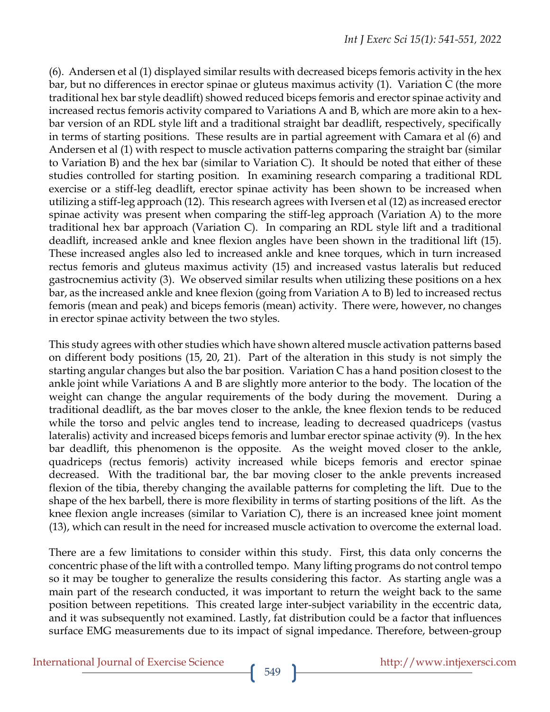(6). Andersen et al (1) displayed similar results with decreased biceps femoris activity in the hex bar, but no differences in erector spinae or gluteus maximus activity (1). Variation C (the more traditional hex bar style deadlift) showed reduced biceps femoris and erector spinae activity and increased rectus femoris activity compared to Variations A and B, which are more akin to a hexbar version of an RDL style lift and a traditional straight bar deadlift, respectively, specifically in terms of starting positions. These results are in partial agreement with Camara et al (6) and Andersen et al (1) with respect to muscle activation patterns comparing the straight bar (similar to Variation B) and the hex bar (similar to Variation C). It should be noted that either of these studies controlled for starting position. In examining research comparing a traditional RDL exercise or a stiff-leg deadlift, erector spinae activity has been shown to be increased when utilizing a stiff-leg approach (12). This research agrees with Iversen et al (12) as increased erector spinae activity was present when comparing the stiff-leg approach (Variation A) to the more traditional hex bar approach (Variation C). In comparing an RDL style lift and a traditional deadlift, increased ankle and knee flexion angles have been shown in the traditional lift (15). These increased angles also led to increased ankle and knee torques, which in turn increased rectus femoris and gluteus maximus activity (15) and increased vastus lateralis but reduced gastrocnemius activity (3). We observed similar results when utilizing these positions on a hex bar, as the increased ankle and knee flexion (going from Variation A to B) led to increased rectus femoris (mean and peak) and biceps femoris (mean) activity. There were, however, no changes in erector spinae activity between the two styles.

This study agrees with other studies which have shown altered muscle activation patterns based on different body positions (15, 20, 21). Part of the alteration in this study is not simply the starting angular changes but also the bar position. Variation C has a hand position closest to the ankle joint while Variations A and B are slightly more anterior to the body. The location of the weight can change the angular requirements of the body during the movement. During a traditional deadlift, as the bar moves closer to the ankle, the knee flexion tends to be reduced while the torso and pelvic angles tend to increase, leading to decreased quadriceps (vastus lateralis) activity and increased biceps femoris and lumbar erector spinae activity (9). In the hex bar deadlift, this phenomenon is the opposite. As the weight moved closer to the ankle, quadriceps (rectus femoris) activity increased while biceps femoris and erector spinae decreased. With the traditional bar, the bar moving closer to the ankle prevents increased flexion of the tibia, thereby changing the available patterns for completing the lift. Due to the shape of the hex barbell, there is more flexibility in terms of starting positions of the lift. As the knee flexion angle increases (similar to Variation C), there is an increased knee joint moment (13), which can result in the need for increased muscle activation to overcome the external load.

There are a few limitations to consider within this study. First, this data only concerns the concentric phase of the lift with a controlled tempo. Many lifting programs do not control tempo so it may be tougher to generalize the results considering this factor. As starting angle was a main part of the research conducted, it was important to return the weight back to the same position between repetitions. This created large inter-subject variability in the eccentric data, and it was subsequently not examined. Lastly, fat distribution could be a factor that influences surface EMG measurements due to its impact of signal impedance. Therefore, between-group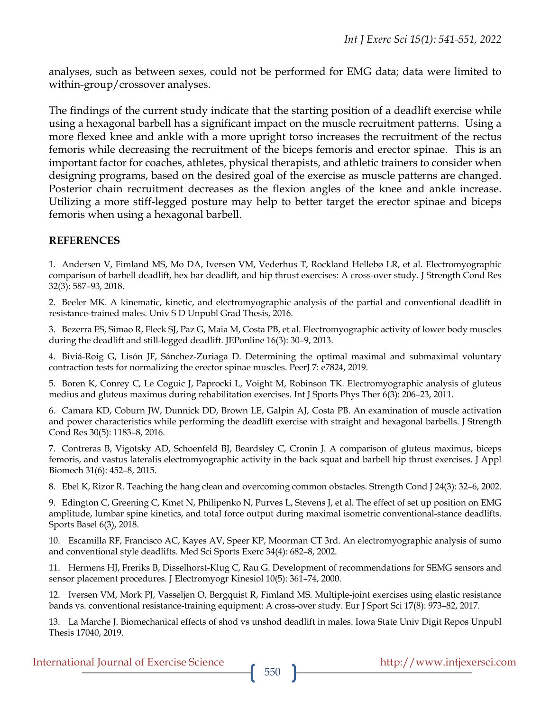analyses, such as between sexes, could not be performed for EMG data; data were limited to within-group/crossover analyses.

The findings of the current study indicate that the starting position of a deadlift exercise while using a hexagonal barbell has a significant impact on the muscle recruitment patterns. Using a more flexed knee and ankle with a more upright torso increases the recruitment of the rectus femoris while decreasing the recruitment of the biceps femoris and erector spinae. This is an important factor for coaches, athletes, physical therapists, and athletic trainers to consider when designing programs, based on the desired goal of the exercise as muscle patterns are changed. Posterior chain recruitment decreases as the flexion angles of the knee and ankle increase. Utilizing a more stiff-legged posture may help to better target the erector spinae and biceps femoris when using a hexagonal barbell.

#### **REFERENCES**

1. Andersen V, Fimland MS, Mo DA, Iversen VM, Vederhus T, Rockland Hellebø LR, et al. Electromyographic comparison of barbell deadlift, hex bar deadlift, and hip thrust exercises: A cross-over study. J Strength Cond Res 32(3): 587–93, 2018.

2. Beeler MK. A kinematic, kinetic, and electromyographic analysis of the partial and conventional deadlift in resistance-trained males. Univ S D Unpubl Grad Thesis, 2016.

3. Bezerra ES, Simao R, Fleck SJ, Paz G, Maia M, Costa PB, et al. Electromyographic activity of lower body muscles during the deadlift and still-legged deadlift. JEPonline 16(3): 30–9, 2013.

4. Biviá-Roig G, Lisón JF, Sánchez-Zuriaga D. Determining the optimal maximal and submaximal voluntary contraction tests for normalizing the erector spinae muscles. PeerJ 7: e7824, 2019.

5. Boren K, Conrey C, Le Coguic J, Paprocki L, Voight M, Robinson TK. Electromyographic analysis of gluteus medius and gluteus maximus during rehabilitation exercises. Int J Sports Phys Ther 6(3): 206–23, 2011.

6. Camara KD, Coburn JW, Dunnick DD, Brown LE, Galpin AJ, Costa PB. An examination of muscle activation and power characteristics while performing the deadlift exercise with straight and hexagonal barbells. J Strength Cond Res 30(5): 1183–8, 2016.

7. Contreras B, Vigotsky AD, Schoenfeld BJ, Beardsley C, Cronin J. A comparison of gluteus maximus, biceps femoris, and vastus lateralis electromyographic activity in the back squat and barbell hip thrust exercises. J Appl Biomech 31(6): 452–8, 2015.

8. Ebel K, Rizor R. Teaching the hang clean and overcoming common obstacles. Strength Cond J 24(3): 32–6, 2002.

9. Edington C, Greening C, Kmet N, Philipenko N, Purves L, Stevens J, et al. The effect of set up position on EMG amplitude, lumbar spine kinetics, and total force output during maximal isometric conventional-stance deadlifts. Sports Basel 6(3), 2018.

10. Escamilla RF, Francisco AC, Kayes AV, Speer KP, Moorman CT 3rd. An electromyographic analysis of sumo and conventional style deadlifts. Med Sci Sports Exerc 34(4): 682–8, 2002.

11. Hermens HJ, Freriks B, Disselhorst-Klug C, Rau G. Development of recommendations for SEMG sensors and sensor placement procedures. J Electromyogr Kinesiol 10(5): 361–74, 2000.

12. Iversen VM, Mork PJ, Vasseljen O, Bergquist R, Fimland MS. Multiple-joint exercises using elastic resistance bands vs. conventional resistance-training equipment: A cross-over study. Eur J Sport Sci 17(8): 973–82, 2017.

13. La Marche J. Biomechanical effects of shod vs unshod deadlift in males. Iowa State Univ Digit Repos Unpubl Thesis 17040, 2019.